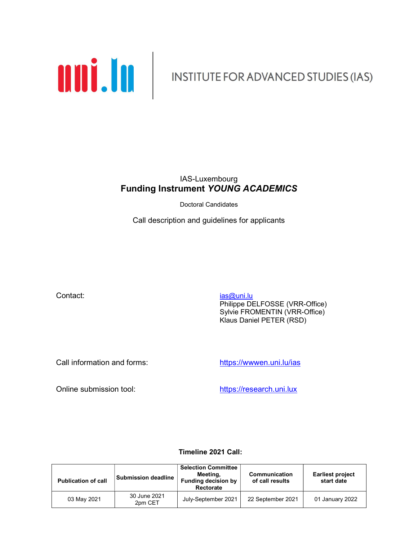

### IAS-Luxembourg Funding Instrument YOUNG ACADEMICS

Doctoral Candidates

Call description and guidelines for applicants

Contact: ias and its contact: ias and its contact: ias and its contact: ias and its contact: ias and its contact: is a set of the set of the set of the set of the set of the set of the set of the set of the set of the set

 Philippe DELFOSSE (VRR-Office) Sylvie FROMENTIN (VRR-Office) Klaus Daniel PETER (RSD)

Call information and forms: https://wwwen.uni.lu/ias

Online submission tool: https://research.uni.lux

### Timeline 2021 Call:

| <b>Publication of call</b> | Submission deadline     | <b>Selection Committee</b><br>Meeting,<br><b>Funding decision by</b><br>Rectorate | Communication<br>of call results | <b>Earliest project</b><br>start date |
|----------------------------|-------------------------|-----------------------------------------------------------------------------------|----------------------------------|---------------------------------------|
| 03 May 2021                | 30 June 2021<br>2pm CET | July-September 2021                                                               | 22 September 2021                | 01 January 2022                       |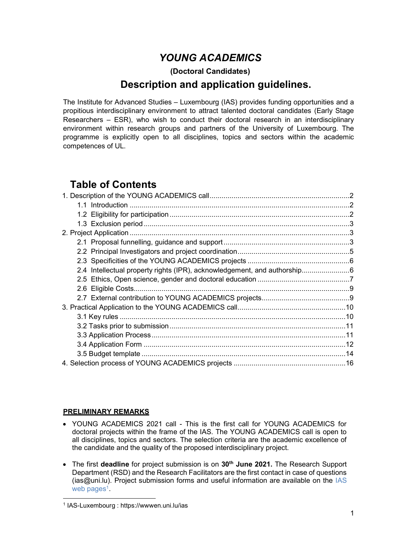# YOUNG ACADEMICS

### (Doctoral Candidates)

# Description and application guidelines.

The Institute for Advanced Studies – Luxembourg (IAS) provides funding opportunities and a propitious interdisciplinary environment to attract talented doctoral candidates (Early Stage Researchers – ESR), who wish to conduct their doctoral research in an interdisciplinary environment within research groups and partners of the University of Luxembourg. The programme is explicitly open to all disciplines, topics and sectors within the academic competences of UL.

# Table of Contents

| 2.4 Intellectual property rights (IPR), acknowledgement, and authorship6 |  |  |
|--------------------------------------------------------------------------|--|--|
|                                                                          |  |  |
|                                                                          |  |  |
|                                                                          |  |  |
|                                                                          |  |  |
|                                                                          |  |  |
|                                                                          |  |  |
|                                                                          |  |  |
|                                                                          |  |  |
|                                                                          |  |  |
|                                                                          |  |  |

### PRELIMINARY REMARKS

- YOUNG ACADEMICS 2021 call This is the first call for YOUNG ACADEMICS for doctoral projects within the frame of the IAS. The YOUNG ACADEMICS call is open to all disciplines, topics and sectors. The selection criteria are the academic excellence of the candidate and the quality of the proposed interdisciplinary project.
- $\bullet$  The first deadline for project submission is on 30<sup>th</sup> June 2021. The Research Support Department (RSD) and the Research Facilitators are the first contact in case of questions (ias@uni.lu). Project submission forms and useful information are available on the IAS web pages<sup>1</sup>.

<sup>1</sup> IAS-Luxembourg : https://wwwen.uni.lu/ias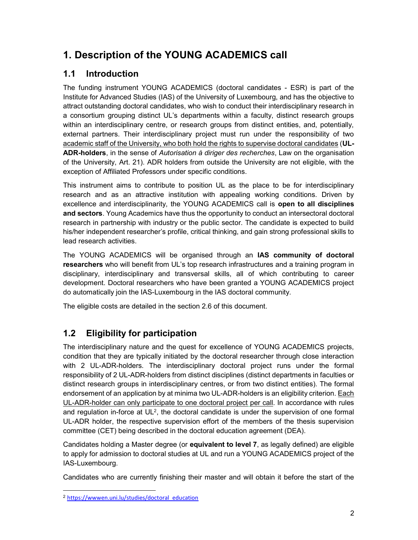# 1. Description of the YOUNG ACADEMICS call

# 1.1 Introduction

The funding instrument YOUNG ACADEMICS (doctoral candidates - ESR) is part of the Institute for Advanced Studies (IAS) of the University of Luxembourg, and has the objective to attract outstanding doctoral candidates, who wish to conduct their interdisciplinary research in a consortium grouping distinct UL's departments within a faculty, distinct research groups within an interdisciplinary centre, or research groups from distinct entities, and, potentially, external partners. Their interdisciplinary project must run under the responsibility of two academic staff of the University, who both hold the rights to supervise doctoral candidates (UL-ADR-holders, in the sense of Autorisation à diriger des recherches, Law on the organisation of the University, Art. 21). ADR holders from outside the University are not eligible, with the exception of Affiliated Professors under specific conditions.

This instrument aims to contribute to position UL as the place to be for interdisciplinary research and as an attractive institution with appealing working conditions. Driven by excellence and interdisciplinarity, the YOUNG ACADEMICS call is open to all disciplines and sectors. Young Academics have thus the opportunity to conduct an intersectoral doctoral research in partnership with industry or the public sector. The candidate is expected to build his/her independent researcher's profile, critical thinking, and gain strong professional skills to lead research activities.

The YOUNG ACADEMICS will be organised through an IAS community of doctoral researchers who will benefit from UL's top research infrastructures and a training program in disciplinary, interdisciplinary and transversal skills, all of which contributing to career development. Doctoral researchers who have been granted a YOUNG ACADEMICS project do automatically join the IAS-Luxembourg in the IAS doctoral community.

The eligible costs are detailed in the section 2.6 of this document.

# 1.2 Eligibility for participation

The interdisciplinary nature and the quest for excellence of YOUNG ACADEMICS projects, condition that they are typically initiated by the doctoral researcher through close interaction with 2 UL-ADR-holders. The interdisciplinary doctoral project runs under the formal responsibility of 2 UL-ADR-holders from distinct disciplines (distinct departments in faculties or distinct research groups in interdisciplinary centres, or from two distinct entities). The formal endorsement of an application by at minima two UL-ADR-holders is an eligibility criterion. Each UL-ADR-holder can only participate to one doctoral project per call. In accordance with rules and regulation in-force at  $UL^2$ , the doctoral candidate is under the supervision of one formal UL-ADR holder, the respective supervision effort of the members of the thesis supervision committee (CET) being described in the doctoral education agreement (DEA).

Candidates holding a Master degree (or equivalent to level 7, as legally defined) are eligible to apply for admission to doctoral studies at UL and run a YOUNG ACADEMICS project of the IAS-Luxembourg.

Candidates who are currently finishing their master and will obtain it before the start of the

<sup>2</sup> https://wwwen.uni.lu/studies/doctoral\_education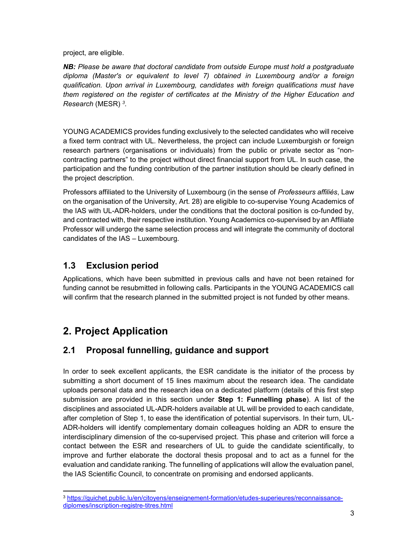project, are eligible.

NB: Please be aware that doctoral candidate from outside Europe must hold a postgraduate diploma (Master's or equivalent to level 7) obtained in Luxembourg and/or a foreign qualification. Upon arrival in Luxembourg, candidates with foreign qualifications must have them registered on the register of certificates at the Ministry of the Higher Education and Research (MESR) <sup>3</sup>.

YOUNG ACADEMICS provides funding exclusively to the selected candidates who will receive a fixed term contract with UL. Nevertheless, the project can include Luxemburgish or foreign research partners (organisations or individuals) from the public or private sector as "noncontracting partners" to the project without direct financial support from UL. In such case, the participation and the funding contribution of the partner institution should be clearly defined in the project description.

Professors affiliated to the University of Luxembourg (in the sense of Professeurs affiliés, Law on the organisation of the University, Art. 28) are eligible to co-supervise Young Academics of the IAS with UL-ADR-holders, under the conditions that the doctoral position is co-funded by, and contracted with, their respective institution. Young Academics co-supervised by an Affiliate Professor will undergo the same selection process and will integrate the community of doctoral candidates of the IAS – Luxembourg.

# 1.3 Exclusion period

Applications, which have been submitted in previous calls and have not been retained for funding cannot be resubmitted in following calls. Participants in the YOUNG ACADEMICS call will confirm that the research planned in the submitted project is not funded by other means.

# 2. Project Application

-

# 2.1 Proposal funnelling, guidance and support

In order to seek excellent applicants, the ESR candidate is the initiator of the process by submitting a short document of 15 lines maximum about the research idea. The candidate uploads personal data and the research idea on a dedicated platform (details of this first step submission are provided in this section under Step 1: Funnelling phase). A list of the disciplines and associated UL-ADR-holders available at UL will be provided to each candidate, after completion of Step 1, to ease the identification of potential supervisors. In their turn, UL-ADR-holders will identify complementary domain colleagues holding an ADR to ensure the interdisciplinary dimension of the co-supervised project. This phase and criterion will force a contact between the ESR and researchers of UL to guide the candidate scientifically, to improve and further elaborate the doctoral thesis proposal and to act as a funnel for the evaluation and candidate ranking. The funnelling of applications will allow the evaluation panel, the IAS Scientific Council, to concentrate on promising and endorsed applicants.

<sup>3</sup> https://guichet.public.lu/en/citoyens/enseignement-formation/etudes-superieures/reconnaissancediplomes/inscription-registre-titres.html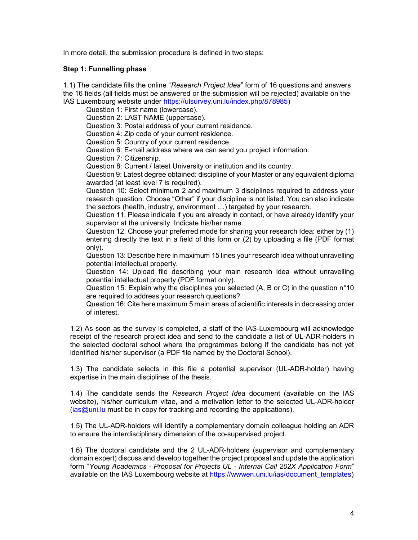In more detail, the submission procedure is defined in two steps:

#### Step 1: Funnelling phase

1.1) The candidate fills the online "Research Project Idea" form of 16 questions and answers the 16 fields (all fields must be answered or the submission will be rejected) available on the IAS Luxembourg website under https://ulsurvey.uni.lu/index.php/878985)

Question 1: First name (lowercase).

Question 2: LAST NAME (uppercase).

Question 3: Postal address of your current residence.

Question 4: Zip code of your current residence.

Question 5: Country of your current residence.

Question 6: E-mail address where we can send you project information.

Question 7: Citizenship.

Question 8: Current / latest University or institution and its country.

Question 9: Latest degree obtained: discipline of your Master or any equivalent diploma awarded (at least level 7 is required).

Question 10: Select minimum 2 and maximum 3 disciplines required to address your research question. Choose "Other" if your discipline is not listed. You can also indicate the sectors (health, industry, environment …) targeted by your research.

Question 11: Please indicate if you are already in contact, or have already identify your supervisor at the university. Indicate his/her name.

Question 12: Choose your preferred mode for sharing your research Idea: either by (1) entering directly the text in a field of this form or (2) by uploading a file (PDF format only).

Question 13: Describe here in maximum 15 lines your research idea without unravelling potential intellectual property.

Question 14: Upload file describing your main research idea without unravelling potential intellectual property (PDF format only).

Question 15: Explain why the disciplines you selected (A, B or C) in the question n°10 are required to address your research questions?

Question 16: Cite here maximum 5 main areas of scientific interests in decreasing order of interest.

1.2) As soon as the survey is completed, a staff of the IAS-Luxembourg will acknowledge receipt of the research project idea and send to the candidate a list of UL-ADR-holders in the selected doctoral school where the programmes belong if the candidate has not yet identified his/her supervisor (a PDF file named by the Doctoral School).

1.3) The candidate selects in this file a potential supervisor (UL-ADR-holder) having expertise in the main disciplines of the thesis.

1.4) The candidate sends the Research Project Idea document (available on the IAS website), his/her curriculum vitae, and a motivation letter to the selected UL-ADR-holder  $(ias@uni.lu$  must be in copy for tracking and recording the applications).

1.5) The UL-ADR-holders will identify a complementary domain colleague holding an ADR to ensure the interdisciplinary dimension of the co-supervised project.

1.6) The doctoral candidate and the 2 UL-ADR-holders (supervisor and complementary domain expert) discuss and develop together the project proposal and update the application form "Young Academics - Proposal for Projects UL - Internal Call 202X Application Form" available on the IAS Luxembourg website at https://wwwen.uni.lu/ias/document\_templates)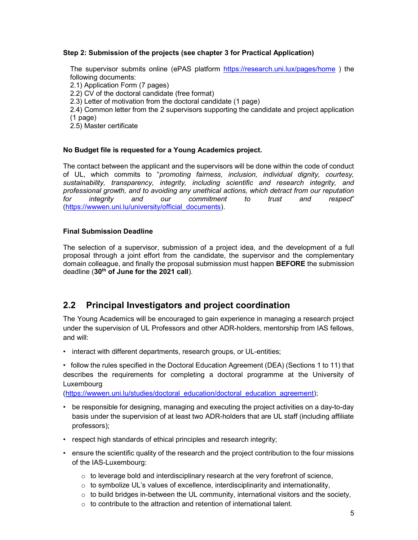#### Step 2: Submission of the projects (see chapter 3 for Practical Application)

The supervisor submits online (ePAS platform https://research.uni.lux/pages/home ) the following documents: 2.1) Application Form (7 pages) 2.2) CV of the doctoral candidate (free format) 2.3) Letter of motivation from the doctoral candidate (1 page) 2.4) Common letter from the 2 supervisors supporting the candidate and project application (1 page) 2.5) Master certificate

#### No Budget file is requested for a Young Academics project.

The contact between the applicant and the supervisors will be done within the code of conduct of UL, which commits to "promoting fairness, inclusion, individual dignity, courtesy, sustainability, transparency, integrity, including scientific and research integrity, and professional growth, and to avoiding any unethical actions, which detract from our reputation for integrity and our commitment to trust and respect" (https://wwwen.uni.lu/university/official\_documents).

#### Final Submission Deadline

The selection of a supervisor, submission of a project idea, and the development of a full proposal through a joint effort from the candidate, the supervisor and the complementary domain colleague, and finally the proposal submission must happen BEFORE the submission deadline (30<sup>th</sup> of June for the 2021 call).

### 2.2 Principal Investigators and project coordination

The Young Academics will be encouraged to gain experience in managing a research project under the supervision of UL Professors and other ADR-holders, mentorship from IAS fellows, and will:

• interact with different departments, research groups, or UL-entities;

• follow the rules specified in the Doctoral Education Agreement (DEA) (Sections 1 to 11) that describes the requirements for completing a doctoral programme at the University of Luxembourg

(https://wwwen.uni.lu/studies/doctoral\_education/doctoral\_education\_agreement);

- be responsible for designing, managing and executing the project activities on a day-to-day basis under the supervision of at least two ADR-holders that are UL staff (including affiliate professors);
- respect high standards of ethical principles and research integrity;
- ensure the scientific quality of the research and the project contribution to the four missions of the IAS-Luxembourg:
	- $\circ$  to leverage bold and interdisciplinary research at the very forefront of science,
	- $\circ$  to symbolize UL's values of excellence, interdisciplinarity and internationality,
	- $\circ$  to build bridges in-between the UL community, international visitors and the society,
	- $\circ$  to contribute to the attraction and retention of international talent.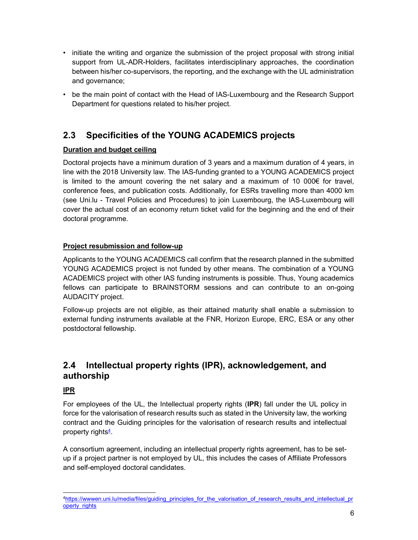- initiate the writing and organize the submission of the project proposal with strong initial support from UL-ADR-Holders, facilitates interdisciplinary approaches, the coordination between his/her co-supervisors, the reporting, and the exchange with the UL administration and governance;
- be the main point of contact with the Head of IAS-Luxembourg and the Research Support Department for questions related to his/her project.

# 2.3 Specificities of the YOUNG ACADEMICS projects

### Duration and budget ceiling

Doctoral projects have a minimum duration of 3 years and a maximum duration of 4 years, in line with the 2018 University law. The IAS-funding granted to a YOUNG ACADEMICS project is limited to the amount covering the net salary and a maximum of 10 000 $\epsilon$  for travel, conference fees, and publication costs. Additionally, for ESRs travelling more than 4000 km (see Uni.lu - Travel Policies and Procedures) to join Luxembourg, the IAS-Luxembourg will cover the actual cost of an economy return ticket valid for the beginning and the end of their doctoral programme.

### Project resubmission and follow-up

Applicants to the YOUNG ACADEMICS call confirm that the research planned in the submitted YOUNG ACADEMICS project is not funded by other means. The combination of a YOUNG ACADEMICS project with other IAS funding instruments is possible. Thus, Young academics fellows can participate to BRAINSTORM sessions and can contribute to an on-going AUDACITY project.

Follow-up projects are not eligible, as their attained maturity shall enable a submission to external funding instruments available at the FNR, Horizon Europe, ERC, ESA or any other postdoctoral fellowship.

# 2.4 Intellectual property rights (IPR), acknowledgement, and authorship

### IPR

-

For employees of the UL, the Intellectual property rights (IPR) fall under the UL policy in force for the valorisation of research results such as stated in the University law, the working contract and the Guiding principles for the valorisation of research results and intellectual property rights<del><sup>4</sup></del>.

A consortium agreement, including an intellectual property rights agreement, has to be setup if a project partner is not employed by UL, this includes the cases of Affiliate Professors and self-employed doctoral candidates.

<sup>4</sup>https://wwwen.uni.lu/media/files/guiding\_principles\_for\_the\_valorisation\_of\_research\_results\_and\_intellectual\_pr operty\_rights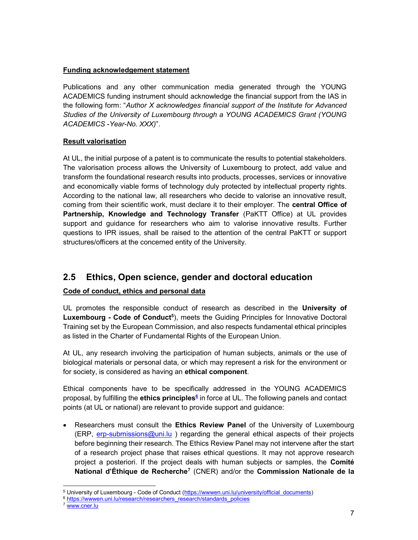#### Funding acknowledgement statement

Publications and any other communication media generated through the YOUNG ACADEMICS funding instrument should acknowledge the financial support from the IAS in the following form: "Author X acknowledges financial support of the Institute for Advanced Studies of the University of Luxembourg through a YOUNG ACADEMICS Grant (YOUNG ACADEMICS -Year-No. XXX)".

#### Result valorisation

At UL, the initial purpose of a patent is to communicate the results to potential stakeholders. The valorisation process allows the University of Luxembourg to protect, add value and transform the foundational research results into products, processes, services or innovative and economically viable forms of technology duly protected by intellectual property rights. According to the national law, all researchers who decide to valorise an innovative result, coming from their scientific work, must declare it to their employer. The central Office of Partnership, Knowledge and Technology Transfer (PaKTT Office) at UL provides support and guidance for researchers who aim to valorise innovative results. Further questions to IPR issues, shall be raised to the attention of the central PaKTT or support structures/officers at the concerned entity of the University.

### 2.5 Ethics, Open science, gender and doctoral education

### Code of conduct, ethics and personal data

UL promotes the responsible conduct of research as described in the University of Luxembourg - Code of Conduct<sup>5</sup>), meets the Guiding Principles for Innovative Doctoral Training set by the European Commission, and also respects fundamental ethical principles as listed in the Charter of Fundamental Rights of the European Union.

At UL, any research involving the participation of human subjects, animals or the use of biological materials or personal data, or which may represent a risk for the environment or for society, is considered as having an ethical component.

Ethical components have to be specifically addressed in the YOUNG ACADEMICS proposal, by fulfilling the **ethics principles<sup><u>6</mark></del> in force at UL. The following panels and contact**</sup></u> points (at UL or national) are relevant to provide support and guidance:

• Researchers must consult the **Ethics Review Panel** of the University of Luxembourg  $(ERP, erp-submissions@uni.lu)$  regarding the general ethical aspects of their projects before beginning their research. The Ethics Review Panel may not intervene after the start of a research project phase that raises ethical questions. It may not approve research project a posteriori. If the project deals with human subjects or samples, the Comité National d'Éthique de Recherche<sup>7</sup> (CNER) and/or the Commission Nationale de la

<sup>&</sup>lt;sup>5</sup> University of Luxembourg - Code of Conduct (https://wwwen.uni.lu/university/official\_documents)

<sup>&</sup>lt;sup>6</sup> https://wwwen.uni.lu/research/researchers\_research/standards\_policies

<sup>7</sup> www.cner.lu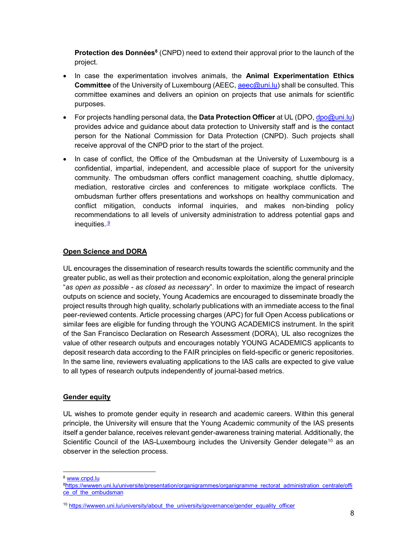Protection des Données<sup>8</sup> (CNPD) need to extend their approval prior to the launch of the project.

- In case the experimentation involves animals, the **Animal Experimentation Ethics** Committee of the University of Luxembourg (AEEC, aeec@uni.lu) shall be consulted. This committee examines and delivers an opinion on projects that use animals for scientific purposes.
- For projects handling personal data, the **Data Protection Officer** at UL (DPO,  $\frac{d}{d}$ po@uni.lu) provides advice and guidance about data protection to University staff and is the contact person for the National Commission for Data Protection (CNPD). Such projects shall receive approval of the CNPD prior to the start of the project.
- In case of conflict, the Office of the Ombudsman at the University of Luxembourg is a confidential, impartial, independent, and accessible place of support for the university community. The ombudsman offers conflict management coaching, shuttle diplomacy, mediation, restorative circles and conferences to mitigate workplace conflicts. The ombudsman further offers presentations and workshops on healthy communication and conflict mitigation, conducts informal inquiries, and makes non-binding policy recommendations to all levels of university administration to address potential gaps and inequities. $9$

#### Open Science and DORA

UL encourages the dissemination of research results towards the scientific community and the greater public, as well as their protection and economic exploitation, along the general principle "as open as possible - as closed as necessary". In order to maximize the impact of research outputs on science and society, Young Academics are encouraged to disseminate broadly the project results through high quality, scholarly publications with an immediate access to the final peer-reviewed contents. Article processing charges (APC) for full Open Access publications or similar fees are eligible for funding through the YOUNG ACADEMICS instrument. In the spirit of the San Francisco Declaration on Research Assessment (DORA), UL also recognizes the value of other research outputs and encourages notably YOUNG ACADEMICS applicants to deposit research data according to the FAIR principles on field-specific or generic repositories. In the same line, reviewers evaluating applications to the IAS calls are expected to give value to all types of research outputs independently of journal-based metrics.

#### **Gender equity**

UL wishes to promote gender equity in research and academic careers. Within this general principle, the University will ensure that the Young Academic community of the IAS presents itself a gender balance, receives relevant gender-awareness training material. Additionally, the Scientific Council of the IAS-Luxembourg includes the University Gender delegate<sup>10</sup> as an observer in the selection process.

-<sup>8</sup> www.cnpd.lu

<sup>&</sup>lt;sup>8</sup>https://wwwen.uni.lu/universite/presentation/organigrammes/organigramme\_rectorat\_administration\_centrale/offi ce\_of\_the\_ombudsman

<sup>&</sup>lt;sup>10</sup> https://wwwen.uni.lu/university/about\_the\_university/governance/gender\_equality\_officer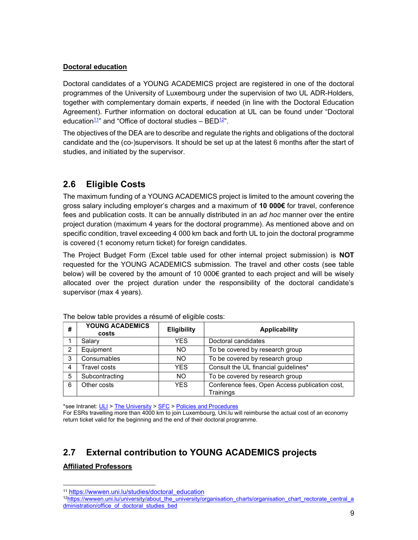### Doctoral education

Doctoral candidates of a YOUNG ACADEMICS project are registered in one of the doctoral programmes of the University of Luxembourg under the supervision of two UL ADR-Holders, together with complementary domain experts, if needed (in line with the Doctoral Education Agreement). Further information on doctoral education at UL can be found under "Doctoral education<sup>11</sup>" and "Office of doctoral studies –  $BED<sup>12</sup>$ ".

The objectives of the DEA are to describe and regulate the rights and obligations of the doctoral candidate and the (co-)supervisors. It should be set up at the latest 6 months after the start of studies, and initiated by the supervisor.

# 2.6 Eligible Costs

The maximum funding of a YOUNG ACADEMICS project is limited to the amount covering the gross salary including employer's charges and a maximum of 10 000€ for travel, conference fees and publication costs. It can be annually distributed in an ad hoc manner over the entire project duration (maximum 4 years for the doctoral programme). As mentioned above and on specific condition, travel exceeding 4 000 km back and forth UL to join the doctoral programme is covered (1 economy return ticket) for foreign candidates.

The Project Budget Form (Excel table used for other internal project submission) is NOT requested for the YOUNG ACADEMICS submission. The travel and other costs (see table below) will be covered by the amount of 10 000€ granted to each project and will be wisely allocated over the project duration under the responsibility of the doctoral candidate's supervisor (max 4 years).

|                  | YOUNG ACADEMICS<br>costs | <b>Eligibility</b> | <b>Applicability</b>                                        |
|------------------|--------------------------|--------------------|-------------------------------------------------------------|
|                  | Salary                   | YES.               | Doctoral candidates                                         |
| Equipment<br>NO. |                          |                    | To be covered by research group                             |
| 3                | Consumables<br>NO.       |                    | To be covered by research group                             |
|                  | Travel costs             | <b>YES</b>         | Consult the UL financial guidelines*                        |
| 5                | Subcontracting           | NO.                | To be covered by research group                             |
| 6                | Other costs              | <b>YES</b>         | Conference fees, Open Access publication cost,<br>Trainings |

\*see Intranet: ULI > The University > SFC > Policies and Procedures

For ESRs travelling more than 4000 km to join Luxembourg, Uni.lu will reimburse the actual cost of an economy return ticket valid for the beginning and the end of their doctoral programme.

# 2.7 External contribution to YOUNG ACADEMICS projects

### Affiliated Professors

<sup>11</sup> https://wwwen.uni.lu/studies/doctoral\_education

<sup>12</sup>https://wwwen.uni.lu/university/about\_the\_university/organisation\_charts/organisation\_chart\_rectorate\_central\_a dministration/office\_of\_doctoral\_studies\_bed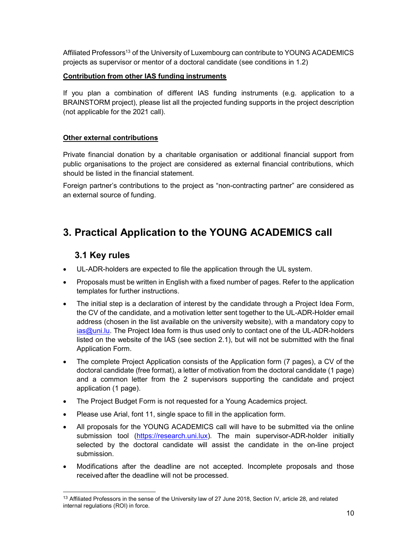Affiliated Professors<sup>13</sup> of the University of Luxembourg can contribute to YOUNG ACADEMICS projects as supervisor or mentor of a doctoral candidate (see conditions in 1.2)

### Contribution from other IAS funding instruments

If you plan a combination of different IAS funding instruments (e.g. application to a BRAINSTORM project), please list all the projected funding supports in the project description (not applicable for the 2021 call).

### Other external contributions

Private financial donation by a charitable organisation or additional financial support from public organisations to the project are considered as external financial contributions, which should be listed in the financial statement.

Foreign partner's contributions to the project as "non-contracting partner" are considered as an external source of funding.

# 3. Practical Application to the YOUNG ACADEMICS call

# 3.1 Key rules

- UL-ADR-holders are expected to file the application through the UL system.
- Proposals must be written in English with a fixed number of pages. Refer to the application templates for further instructions.
- The initial step is a declaration of interest by the candidate through a Project Idea Form, the CV of the candidate, and a motivation letter sent together to the UL-ADR-Holder email address (chosen in the list available on the university website), with a mandatory copy to ias@uni.lu. The Project Idea form is thus used only to contact one of the UL-ADR-holders listed on the website of the IAS (see section 2.1), but will not be submitted with the final Application Form.
- The complete Project Application consists of the Application form (7 pages), a CV of the doctoral candidate (free format), a letter of motivation from the doctoral candidate (1 page) and a common letter from the 2 supervisors supporting the candidate and project application (1 page).
- The Project Budget Form is not requested for a Young Academics project.
- Please use Arial, font 11, single space to fill in the application form.
- All proposals for the YOUNG ACADEMICS call will have to be submitted via the online submission tool (https://research.uni.lux). The main supervisor-ADR-holder initially selected by the doctoral candidate will assist the candidate in the on-line project submission.
- Modifications after the deadline are not accepted. Incomplete proposals and those received after the deadline will not be processed.

<sup>13</sup> Affiliated Professors in the sense of the University law of 27 June 2018, Section IV, article 28, and related internal regulations (ROI) in force.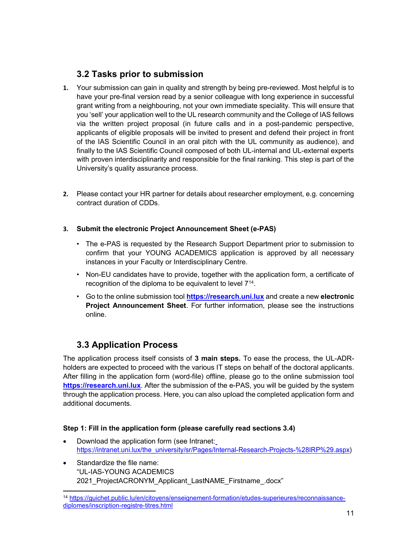# 3.2 Tasks prior to submission

- 1. Your submission can gain in quality and strength by being pre-reviewed. Most helpful is to have your pre-final version read by a senior colleague with long experience in successful grant writing from a neighbouring, not your own immediate speciality. This will ensure that you 'sell' your application well to the UL research community and the College of IAS fellows via the written project proposal (in future calls and in a post-pandemic perspective, applicants of eligible proposals will be invited to present and defend their project in front of the IAS Scientific Council in an oral pitch with the UL community as audience), and finally to the IAS Scientific Council composed of both UL-internal and UL-external experts with proven interdisciplinarity and responsible for the final ranking. This step is part of the University's quality assurance process.
- 2. Please contact your HR partner for details about researcher employment, e.g. concerning contract duration of CDDs.
- 3. Submit the electronic Project Announcement Sheet (e-PAS)
	- The e-PAS is requested by the Research Support Department prior to submission to confirm that your YOUNG ACADEMICS application is approved by all necessary instances in your Faculty or Interdisciplinary Centre.
	- Non-EU candidates have to provide, together with the application form, a certificate of recognition of the diploma to be equivalent to level 7<sup>14</sup>.
	- Go to the online submission tool https://research.uni.lux and create a new electronic Project Announcement Sheet. For further information, please see the instructions online.

# 3.3 Application Process

-

The application process itself consists of 3 main steps. To ease the process, the UL-ADRholders are expected to proceed with the various IT steps on behalf of the doctoral applicants. After filling in the application form (word-file) offline, please go to the online submission tool https://research.uni.lux. After the submission of the e-PAS, you will be guided by the system through the application process. Here, you can also upload the completed application form and additional documents.

### Step 1: Fill in the application form (please carefully read sections 3.4)

- Download the application form (see Intranet: https://intranet.uni.lux/the\_university/sr/Pages/Internal-Research-Projects-%28IRP%29.aspx)
- Standardize the file name: "UL-IAS-YOUNG ACADEMICS 2021 ProjectACRONYM Applicant LastNAME Firstname .docx"

<sup>14</sup> https://guichet.public.lu/en/citoyens/enseignement-formation/etudes-superieures/reconnaissancediplomes/inscription-registre-titres.html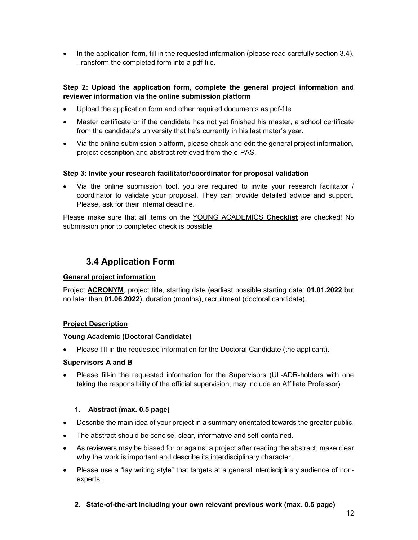• In the application form, fill in the requested information (please read carefully section 3.4). Transform the completed form into a pdf-file.

### Step 2: Upload the application form, complete the general project information and reviewer information via the online submission platform

- Upload the application form and other required documents as pdf-file.
- Master certificate or if the candidate has not yet finished his master, a school certificate from the candidate's university that he's currently in his last mater's year.
- Via the online submission platform, please check and edit the general project information, project description and abstract retrieved from the e-PAS.

#### Step 3: Invite your research facilitator/coordinator for proposal validation

 Via the online submission tool, you are required to invite your research facilitator / coordinator to validate your proposal. They can provide detailed advice and support. Please, ask for their internal deadline.

Please make sure that all items on the YOUNG ACADEMICS Checklist are checked! No submission prior to completed check is possible.

# 3.4 Application Form

### General project information

Project ACRONYM, project title, starting date (earliest possible starting date: 01.01.2022 but no later than 01.06.2022), duration (months), recruitment (doctoral candidate).

#### Project Description

#### Young Academic (Doctoral Candidate)

Please fill-in the requested information for the Doctoral Candidate (the applicant).

#### Supervisors A and B

 Please fill-in the requested information for the Supervisors (UL-ADR-holders with one taking the responsibility of the official supervision, may include an Affiliate Professor).

#### 1. Abstract (max. 0.5 page)

- Describe the main idea of your project in a summary orientated towards the greater public.
- The abstract should be concise, clear, informative and self-contained.
- As reviewers may be biased for or against a project after reading the abstract, make clear why the work is important and describe its interdisciplinary character.
- Please use a "lay writing style" that targets at a general interdisciplinary audience of nonexperts.
	- 2. State-of-the-art including your own relevant previous work (max. 0.5 page)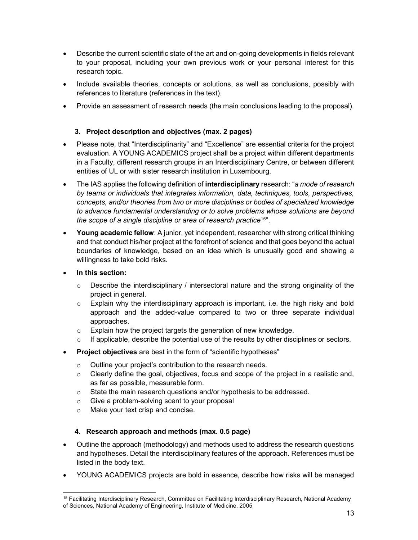- Describe the current scientific state of the art and on-going developments in fields relevant to your proposal, including your own previous work or your personal interest for this research topic.
- Include available theories, concepts or solutions, as well as conclusions, possibly with references to literature (references in the text).
- Provide an assessment of research needs (the main conclusions leading to the proposal).

### 3. Project description and objectives (max. 2 pages)

- Please note, that "Interdisciplinarity" and "Excellence" are essential criteria for the project evaluation. A YOUNG ACADEMICS project shall be a project within different departments in a Faculty, different research groups in an Interdisciplinary Centre, or between different entities of UL or with sister research institution in Luxembourg.
- The IAS applies the following definition of **interdisciplinary** research: "a mode of research by teams or individuals that integrates information, data, techniques, tools, perspectives, concepts, and/or theories from two or more disciplines or bodies of specialized knowledge to advance fundamental understanding or to solve problems whose solutions are beyond the scope of a single discipline or area of research practice<sup>15"</sup>.
- Young academic fellow: A junior, yet independent, researcher with strong critical thinking and that conduct his/her project at the forefront of science and that goes beyond the actual boundaries of knowledge, based on an idea which is unusually good and showing a willingness to take bold risks.
- In this section:

-

- $\circ$  Describe the interdisciplinary / intersectoral nature and the strong originality of the project in general.
- o Explain why the interdisciplinary approach is important, i.e. the high risky and bold approach and the added-value compared to two or three separate individual approaches.
- o Explain how the project targets the generation of new knowledge.
- $\circ$  If applicable, describe the potential use of the results by other disciplines or sectors.
- Project objectives are best in the form of "scientific hypotheses"
	- o Outline your project's contribution to the research needs.
	- $\circ$  Clearly define the goal, objectives, focus and scope of the project in a realistic and, as far as possible, measurable form.
	- o State the main research questions and/or hypothesis to be addressed.
	- o Give a problem-solving scent to your proposal
	- o Make your text crisp and concise.

### 4. Research approach and methods (max. 0.5 page)

- Outline the approach (methodology) and methods used to address the research questions and hypotheses. Detail the interdisciplinary features of the approach. References must be listed in the body text.
- YOUNG ACADEMICS projects are bold in essence, describe how risks will be managed

<sup>&</sup>lt;sup>15</sup> Facilitating Interdisciplinary Research, Committee on Facilitating Interdisciplinary Research, National Academy of Sciences, National Academy of Engineering, Institute of Medicine, 2005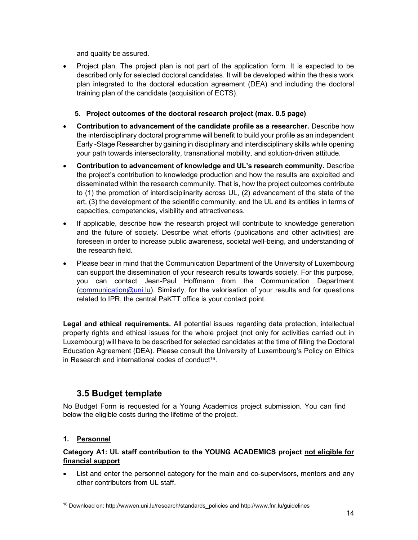and quality be assured.

- Project plan. The project plan is not part of the application form. It is expected to be described only for selected doctoral candidates. It will be developed within the thesis work plan integrated to the doctoral education agreement (DEA) and including the doctoral training plan of the candidate (acquisition of ECTS).
	- 5. Project outcomes of the doctoral research project (max. 0.5 page)
- Contribution to advancement of the candidate profile as a researcher. Describe how the interdisciplinary doctoral programme will benefit to build your profile as an independent Early -Stage Researcher by gaining in disciplinary and interdisciplinary skills while opening your path towards intersectorality, transnational mobility, and solution-driven attitude.
- Contribution to advancement of knowledge and UL's research community. Describe the project's contribution to knowledge production and how the results are exploited and disseminated within the research community. That is, how the project outcomes contribute to (1) the promotion of interdisciplinarity across UL, (2) advancement of the state of the art, (3) the development of the scientific community, and the UL and its entities in terms of capacities, competencies, visibility and attractiveness.
- If applicable, describe how the research project will contribute to knowledge generation and the future of society. Describe what efforts (publications and other activities) are foreseen in order to increase public awareness, societal well-being, and understanding of the research field.
- Please bear in mind that the Communication Department of the University of Luxembourg can support the dissemination of your research results towards society. For this purpose, you can contact Jean-Paul Hoffmann from the Communication Department (communication@uni.lu). Similarly, for the valorisation of your results and for questions related to IPR, the central PaKTT office is your contact point.

Legal and ethical requirements. All potential issues regarding data protection, intellectual property rights and ethical issues for the whole project (not only for activities carried out in Luxembourg) will have to be described for selected candidates at the time of filling the Doctoral Education Agreement (DEA). Please consult the University of Luxembourg's Policy on Ethics in Research and international codes of conduct<sup>16</sup>.

# 3.5 Budget template

No Budget Form is requested for a Young Academics project submission. You can find below the eligible costs during the lifetime of the project.

### 1. Personnel

-

### Category A1: UL staff contribution to the YOUNG ACADEMICS project not eligible for financial support

• List and enter the personnel category for the main and co-supervisors, mentors and any other contributors from UL staff.

<sup>&</sup>lt;sup>16</sup> Download on: http://wwwen.uni.lu/research/standards policies and http://www.fnr.lu/guidelines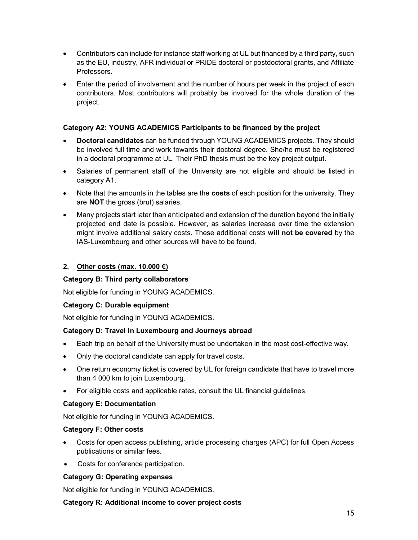- Contributors can include for instance staff working at UL but financed by a third party, such as the EU, industry, AFR individual or PRIDE doctoral or postdoctoral grants, and Affiliate Professors.
- Enter the period of involvement and the number of hours per week in the project of each contributors. Most contributors will probably be involved for the whole duration of the project.

### Category A2: YOUNG ACADEMICS Participants to be financed by the project

- Doctoral candidates can be funded through YOUNG ACADEMICS projects. They should be involved full time and work towards their doctoral degree. She/he must be registered in a doctoral programme at UL. Their PhD thesis must be the key project output.
- Salaries of permanent staff of the University are not eligible and should be listed in category A1.
- Note that the amounts in the tables are the **costs** of each position for the university. They are NOT the gross (brut) salaries.
- Many projects start later than anticipated and extension of the duration beyond the initially projected end date is possible. However, as salaries increase over time the extension might involve additional salary costs. These additional costs will not be covered by the IAS-Luxembourg and other sources will have to be found.

### 2. Other costs (max.  $10.000 \in \mathcal{E}$ )

#### Category B: Third party collaborators

Not eligible for funding in YOUNG ACADEMICS.

#### Category C: Durable equipment

Not eligible for funding in YOUNG ACADEMICS.

#### Category D: Travel in Luxembourg and Journeys abroad

- Each trip on behalf of the University must be undertaken in the most cost-effective way.
- Only the doctoral candidate can apply for travel costs.
- One return economy ticket is covered by UL for foreign candidate that have to travel more than 4 000 km to join Luxembourg.
- For eligible costs and applicable rates, consult the UL financial guidelines.

#### Category E: Documentation

Not eligible for funding in YOUNG ACADEMICS.

#### Category F: Other costs

- Costs for open access publishing, article processing charges (APC) for full Open Access publications or similar fees.
- Costs for conference participation.

### Category G: Operating expenses

Not eligible for funding in YOUNG ACADEMICS.

#### Category R: Additional income to cover project costs